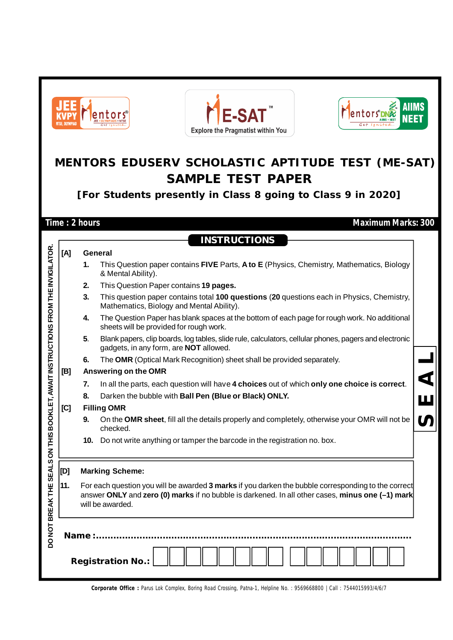| <b>AIIMS</b><br>E-SA <sup>®</sup><br><b>lentors</b><br>NEET<br>NTSE. OLYMPIAI<br><b>Explore the Pragmatist within You</b> |                                                                                                                                                                                                                                                                          |               |                                                                                                                                                         |  |  |  |  |  |  |  |
|---------------------------------------------------------------------------------------------------------------------------|--------------------------------------------------------------------------------------------------------------------------------------------------------------------------------------------------------------------------------------------------------------------------|---------------|---------------------------------------------------------------------------------------------------------------------------------------------------------|--|--|--|--|--|--|--|
|                                                                                                                           | MENTORS EDUSERV SCHOLASTIC APTITUDE TEST (ME-SAT)<br><b>SAMPLE TEST PAPER</b>                                                                                                                                                                                            |               |                                                                                                                                                         |  |  |  |  |  |  |  |
|                                                                                                                           |                                                                                                                                                                                                                                                                          |               | [For Students presently in Class 8 going to Class 9 in 2020]                                                                                            |  |  |  |  |  |  |  |
|                                                                                                                           |                                                                                                                                                                                                                                                                          | Time: 2 hours | <b>Maximum Marks: 300</b>                                                                                                                               |  |  |  |  |  |  |  |
|                                                                                                                           |                                                                                                                                                                                                                                                                          |               | <b>INSTRUCTIONS</b>                                                                                                                                     |  |  |  |  |  |  |  |
|                                                                                                                           |                                                                                                                                                                                                                                                                          |               |                                                                                                                                                         |  |  |  |  |  |  |  |
| KLET, AWAIT INSTRUCTIONS FROM THE INVIGILATOR.                                                                            | [A]                                                                                                                                                                                                                                                                      | 1.            | General<br>This Question paper contains FIVE Parts, A to E (Physics, Chemistry, Mathematics, Biology<br>& Mental Ability).                              |  |  |  |  |  |  |  |
|                                                                                                                           |                                                                                                                                                                                                                                                                          | 2.            | This Question Paper contains 19 pages.                                                                                                                  |  |  |  |  |  |  |  |
|                                                                                                                           |                                                                                                                                                                                                                                                                          | 3.            | This question paper contains total 100 questions (20 questions each in Physics, Chemistry,<br>Mathematics, Biology and Mental Ability).                 |  |  |  |  |  |  |  |
|                                                                                                                           |                                                                                                                                                                                                                                                                          | 4.            | The Question Paper has blank spaces at the bottom of each page for rough work. No additional<br>sheets will be provided for rough work.                 |  |  |  |  |  |  |  |
|                                                                                                                           |                                                                                                                                                                                                                                                                          | 5.            | Blank papers, clip boards, log tables, slide rule, calculators, cellular phones, pagers and electronic<br>gadgets, in any form, are <b>NOT</b> allowed. |  |  |  |  |  |  |  |
|                                                                                                                           |                                                                                                                                                                                                                                                                          | 6.            | The OMR (Optical Mark Recognition) sheet shall be provided separately.                                                                                  |  |  |  |  |  |  |  |
|                                                                                                                           | [B]                                                                                                                                                                                                                                                                      |               | Answering on the OMR                                                                                                                                    |  |  |  |  |  |  |  |
|                                                                                                                           |                                                                                                                                                                                                                                                                          | 7.            | In all the parts, each question will have 4 choices out of which only one choice is correct.                                                            |  |  |  |  |  |  |  |
|                                                                                                                           |                                                                                                                                                                                                                                                                          | 8.            | Darken the bubble with Ball Pen (Blue or Black) ONLY.                                                                                                   |  |  |  |  |  |  |  |
|                                                                                                                           | [C]                                                                                                                                                                                                                                                                      |               | <b>Filling OMR</b>                                                                                                                                      |  |  |  |  |  |  |  |
|                                                                                                                           |                                                                                                                                                                                                                                                                          | 9.            | On the OMR sheet, fill all the details properly and completely, otherwise your OMR will not be<br>checked.                                              |  |  |  |  |  |  |  |
|                                                                                                                           |                                                                                                                                                                                                                                                                          |               | 10. Do not write anything or tamper the barcode in the registration no. box.                                                                            |  |  |  |  |  |  |  |
|                                                                                                                           | $[{\sf D}]$                                                                                                                                                                                                                                                              |               | <b>Marking Scheme:</b>                                                                                                                                  |  |  |  |  |  |  |  |
|                                                                                                                           | DO NOT BREAK THE SEALS ON THIS BOO<br>11.<br>For each question you will be awarded 3 marks if you darken the bubble corresponding to the correct<br>answer ONLY and zero (0) marks if no bubble is darkened. In all other cases, minus one (-1) mark<br>will be awarded. |               |                                                                                                                                                         |  |  |  |  |  |  |  |
|                                                                                                                           | Name :.<br><b>Registration No.:</b>                                                                                                                                                                                                                                      |               |                                                                                                                                                         |  |  |  |  |  |  |  |
|                                                                                                                           |                                                                                                                                                                                                                                                                          |               |                                                                                                                                                         |  |  |  |  |  |  |  |

**Corporate Office :** Parus Lok Complex, Boring Road Crossing, Patna-1, Helpline No. : 9569668800 | Call : 7544015993/4/6/7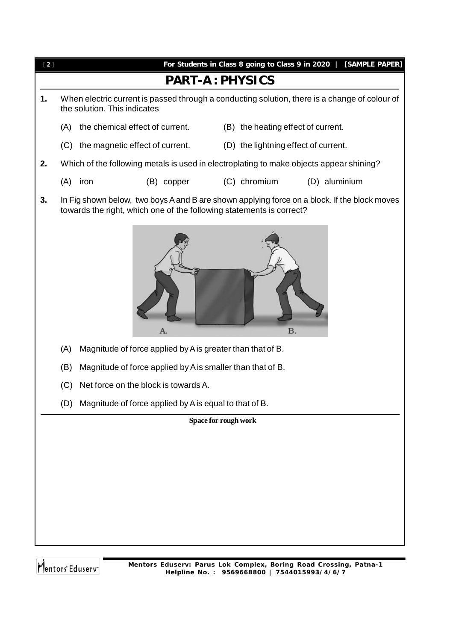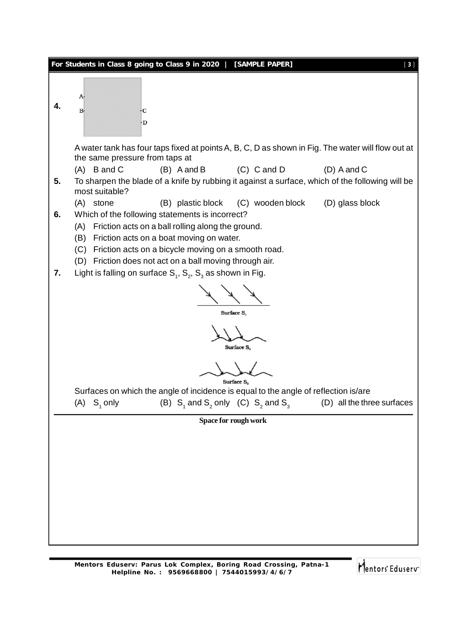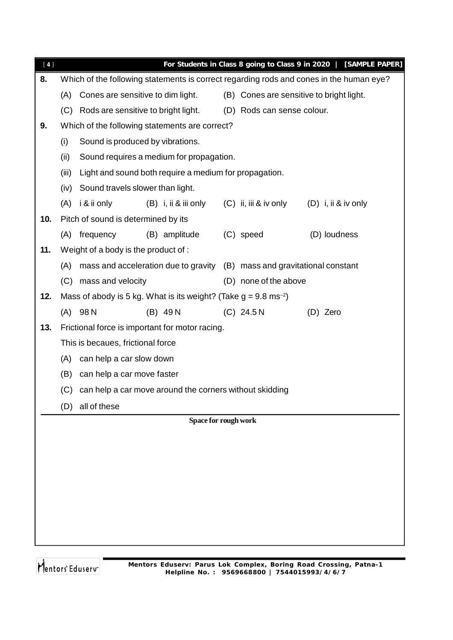| $[4]$ |       |                                      |                                                                              |  |                                          | For Students in Class 8 going to Class 9 in 2020   [SAMPLE PAPER]                       |  |  |  |
|-------|-------|--------------------------------------|------------------------------------------------------------------------------|--|------------------------------------------|-----------------------------------------------------------------------------------------|--|--|--|
| 8.    |       |                                      |                                                                              |  |                                          | Which of the following statements is correct regarding rods and cones in the human eye? |  |  |  |
|       | (A)   | Cones are sensitive to dim light.    |                                                                              |  | (B) Cones are sensitive to bright light. |                                                                                         |  |  |  |
|       | (C)   | Rods are sensitive to bright light.  |                                                                              |  | (D) Rods can sense colour.               |                                                                                         |  |  |  |
| 9.    |       |                                      | Which of the following statements are correct?                               |  |                                          |                                                                                         |  |  |  |
|       | (i)   | Sound is produced by vibrations.     |                                                                              |  |                                          |                                                                                         |  |  |  |
|       | (ii)  |                                      | Sound requires a medium for propagation.                                     |  |                                          |                                                                                         |  |  |  |
|       | (iii) |                                      | Light and sound both require a medium for propagation.                       |  |                                          |                                                                                         |  |  |  |
|       | (iv)  | Sound travels slower than light.     |                                                                              |  |                                          |                                                                                         |  |  |  |
|       | (A)   | i & ii only                          | (B) i, ii & iii only                                                         |  |                                          | $(C)$ ii, iii & iv only $(D)$ i, ii & iv only                                           |  |  |  |
| 10.   |       | Pitch of sound is determined by its  |                                                                              |  |                                          |                                                                                         |  |  |  |
|       |       | (A) frequency                        | (B) amplitude                                                                |  | (C) speed                                | (D) loudness                                                                            |  |  |  |
| 11.   |       | Weight of a body is the product of : |                                                                              |  |                                          |                                                                                         |  |  |  |
|       | (A)   |                                      | mass and acceleration due to gravity (B) mass and gravitational constant     |  |                                          |                                                                                         |  |  |  |
|       |       | (C) mass and velocity                |                                                                              |  | (D) none of the above                    |                                                                                         |  |  |  |
| 12.   |       |                                      | Mass of abody is 5 kg. What is its weight? (Take $g = 9.8 \text{ ms}^{-2}$ ) |  |                                          |                                                                                         |  |  |  |
|       |       | $(A)$ 98 N                           | $(B)$ 49 N                                                                   |  | $(C)$ 24.5 N                             | (D) Zero                                                                                |  |  |  |
| 13.   |       |                                      | Frictional force is important for motor racing.                              |  |                                          |                                                                                         |  |  |  |
|       |       | This is becaues, frictional force    |                                                                              |  |                                          |                                                                                         |  |  |  |
|       | (A)   | can help a car slow down             |                                                                              |  |                                          |                                                                                         |  |  |  |
|       | (B)   | can help a car move faster           |                                                                              |  |                                          |                                                                                         |  |  |  |
|       | (C)   |                                      | can help a car move around the corners without skidding                      |  |                                          |                                                                                         |  |  |  |
|       |       | (D) all of these                     |                                                                              |  |                                          |                                                                                         |  |  |  |
|       |       |                                      | Space for rough work                                                         |  |                                          |                                                                                         |  |  |  |
|       |       |                                      |                                                                              |  |                                          |                                                                                         |  |  |  |
|       |       |                                      |                                                                              |  |                                          |                                                                                         |  |  |  |
|       |       |                                      |                                                                              |  |                                          |                                                                                         |  |  |  |
|       |       |                                      |                                                                              |  |                                          |                                                                                         |  |  |  |
|       |       |                                      |                                                                              |  |                                          |                                                                                         |  |  |  |
|       |       |                                      |                                                                              |  |                                          |                                                                                         |  |  |  |
|       |       |                                      |                                                                              |  |                                          |                                                                                         |  |  |  |
|       |       |                                      |                                                                              |  |                                          |                                                                                         |  |  |  |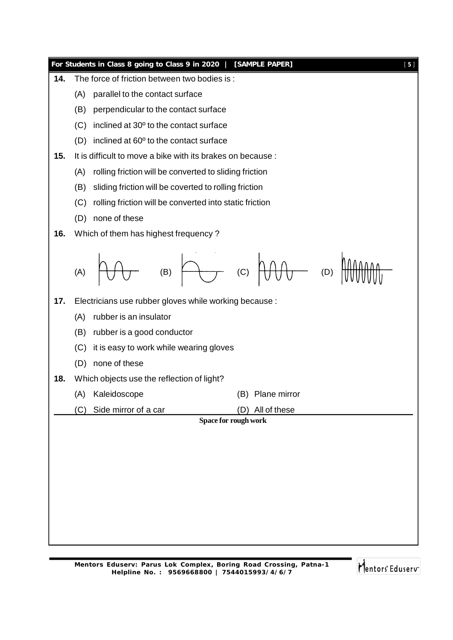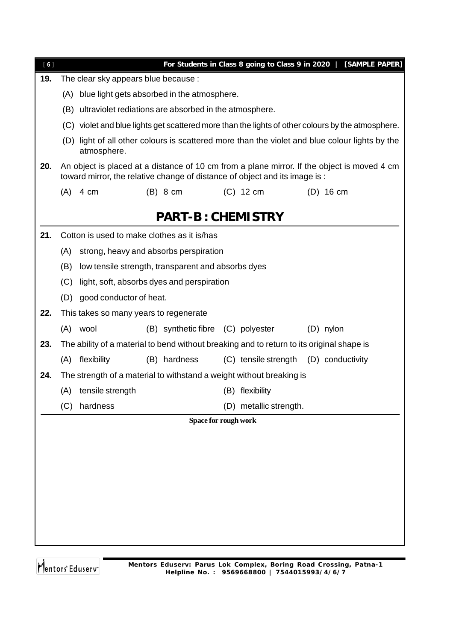| [6] |                                                    |                                      |                                                            |                                                                                           | For Students in Class 8 going to Class 9 in 2020   [SAMPLE PAPER]                                 |  |  |
|-----|----------------------------------------------------|--------------------------------------|------------------------------------------------------------|-------------------------------------------------------------------------------------------|---------------------------------------------------------------------------------------------------|--|--|
| 19. |                                                    | The clear sky appears blue because : |                                                            |                                                                                           |                                                                                                   |  |  |
|     | blue light gets absorbed in the atmosphere.<br>(A) |                                      |                                                            |                                                                                           |                                                                                                   |  |  |
|     |                                                    |                                      | (B) ultraviolet rediations are absorbed in the atmosphere. |                                                                                           |                                                                                                   |  |  |
|     |                                                    |                                      |                                                            |                                                                                           | (C) violet and blue lights get scattered more than the lights of other colours by the atmosphere. |  |  |
|     |                                                    | atmosphere.                          |                                                            |                                                                                           | (D) light of all other colours is scattered more than the violet and blue colour lights by the    |  |  |
| 20. |                                                    |                                      |                                                            | toward mirror, the relative change of distance of object and its image is :               | An object is placed at a distance of 10 cm from a plane mirror. If the object is moved 4 cm       |  |  |
|     | $(A)$ 4 cm                                         |                                      | $(B)$ 8 cm                                                 | $(C)$ 12 cm                                                                               | $(D)$ 16 cm                                                                                       |  |  |
|     |                                                    |                                      | <b>PART-B: CHEMISTRY</b>                                   |                                                                                           |                                                                                                   |  |  |
| 21. |                                                    |                                      | Cotton is used to make clothes as it is/has                |                                                                                           |                                                                                                   |  |  |
|     | (A)                                                |                                      | strong, heavy and absorbs perspiration                     |                                                                                           |                                                                                                   |  |  |
|     | (B)                                                |                                      | low tensile strength, transparent and absorbs dyes         |                                                                                           |                                                                                                   |  |  |
|     | (C)                                                |                                      | light, soft, absorbs dyes and perspiration                 |                                                                                           |                                                                                                   |  |  |
|     | (D)                                                | good conductor of heat.              |                                                            |                                                                                           |                                                                                                   |  |  |
| 22. |                                                    |                                      | This takes so many years to regenerate                     |                                                                                           |                                                                                                   |  |  |
|     | (A) wool                                           |                                      | (B) synthetic fibre (C) polyester                          |                                                                                           | $(D)$ nylon                                                                                       |  |  |
| 23. |                                                    |                                      |                                                            | The ability of a material to bend without breaking and to return to its original shape is |                                                                                                   |  |  |
|     |                                                    | (A) flexibility                      | (B) hardness                                               | (C) tensile strength (D) conductivity                                                     |                                                                                                   |  |  |
| 24. |                                                    |                                      |                                                            | The strength of a material to withstand a weight without breaking is                      |                                                                                                   |  |  |
|     |                                                    | (A) tensile strength                 |                                                            | (B) flexibility                                                                           |                                                                                                   |  |  |
|     | (C)                                                | hardness                             |                                                            | (D) metallic strength.                                                                    |                                                                                                   |  |  |
|     |                                                    |                                      |                                                            | Space for rough work                                                                      |                                                                                                   |  |  |
|     |                                                    |                                      |                                                            |                                                                                           |                                                                                                   |  |  |
|     |                                                    |                                      |                                                            |                                                                                           |                                                                                                   |  |  |
|     |                                                    |                                      |                                                            |                                                                                           |                                                                                                   |  |  |
|     |                                                    |                                      |                                                            |                                                                                           |                                                                                                   |  |  |
|     |                                                    |                                      |                                                            |                                                                                           |                                                                                                   |  |  |
|     |                                                    |                                      |                                                            |                                                                                           |                                                                                                   |  |  |
|     |                                                    |                                      |                                                            |                                                                                           |                                                                                                   |  |  |
|     |                                                    |                                      |                                                            |                                                                                           |                                                                                                   |  |  |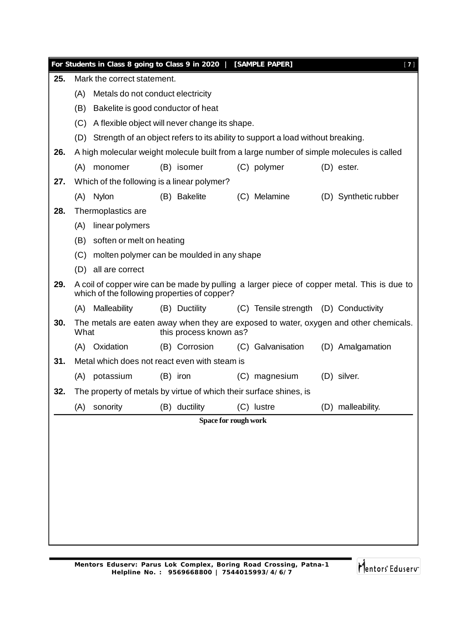|     |                      | For Students in Class 8 going to Class 9 in 2020   [SAMPLE PAPER]  |  |                        |  |                                                                                     |  | $[7]$                                                                                       |  |
|-----|----------------------|--------------------------------------------------------------------|--|------------------------|--|-------------------------------------------------------------------------------------|--|---------------------------------------------------------------------------------------------|--|
| 25. |                      | Mark the correct statement.                                        |  |                        |  |                                                                                     |  |                                                                                             |  |
|     | (A)                  | Metals do not conduct electricity                                  |  |                        |  |                                                                                     |  |                                                                                             |  |
|     | (B)                  | Bakelite is good conductor of heat                                 |  |                        |  |                                                                                     |  |                                                                                             |  |
|     | (C)                  | A flexible object will never change its shape.                     |  |                        |  |                                                                                     |  |                                                                                             |  |
|     |                      |                                                                    |  |                        |  | (D) Strength of an object refers to its ability to support a load without breaking. |  |                                                                                             |  |
| 26. |                      |                                                                    |  |                        |  |                                                                                     |  | A high molecular weight molecule built from a large number of simple molecules is called    |  |
|     | (A)                  | monomer                                                            |  | (B) isomer             |  | (C) polymer                                                                         |  | $(D)$ ester.                                                                                |  |
| 27. |                      | Which of the following is a linear polymer?                        |  |                        |  |                                                                                     |  |                                                                                             |  |
|     | (A)                  | <b>Nylon</b>                                                       |  | (B) Bakelite           |  | (C) Melamine                                                                        |  | (D) Synthetic rubber                                                                        |  |
| 28. |                      | Thermoplastics are                                                 |  |                        |  |                                                                                     |  |                                                                                             |  |
|     | (A)                  | linear polymers                                                    |  |                        |  |                                                                                     |  |                                                                                             |  |
|     | (B)                  | soften or melt on heating                                          |  |                        |  |                                                                                     |  |                                                                                             |  |
|     | (C)                  | molten polymer can be moulded in any shape                         |  |                        |  |                                                                                     |  |                                                                                             |  |
|     | (D)                  | all are correct                                                    |  |                        |  |                                                                                     |  |                                                                                             |  |
| 29. |                      | which of the following properties of copper?                       |  |                        |  |                                                                                     |  | A coil of copper wire can be made by pulling a larger piece of copper metal. This is due to |  |
|     | (A)                  | Malleability                                                       |  | (B) Ductility          |  | (C) Tensile strength (D) Conductivity                                               |  |                                                                                             |  |
| 30. | What                 |                                                                    |  | this process known as? |  |                                                                                     |  | The metals are eaten away when they are exposed to water, oxygen and other chemicals.       |  |
|     | (A)                  | Oxidation                                                          |  | (B) Corrosion          |  | (C) Galvanisation                                                                   |  | (D) Amalgamation                                                                            |  |
| 31. |                      | Metal which does not react even with steam is                      |  |                        |  |                                                                                     |  |                                                                                             |  |
|     | (A)                  | potassium                                                          |  | (B) iron               |  | (C) magnesium                                                                       |  | (D) silver.                                                                                 |  |
| 32. |                      | The property of metals by virtue of which their surface shines, is |  |                        |  |                                                                                     |  |                                                                                             |  |
|     | (A)                  | sonority                                                           |  | (B) ductility          |  | (C) lustre                                                                          |  | (D) malleability.                                                                           |  |
|     | Space for rough work |                                                                    |  |                        |  |                                                                                     |  |                                                                                             |  |
|     |                      |                                                                    |  |                        |  |                                                                                     |  |                                                                                             |  |
|     |                      |                                                                    |  |                        |  |                                                                                     |  |                                                                                             |  |
|     |                      |                                                                    |  |                        |  |                                                                                     |  |                                                                                             |  |
|     |                      |                                                                    |  |                        |  |                                                                                     |  |                                                                                             |  |
|     |                      |                                                                    |  |                        |  |                                                                                     |  |                                                                                             |  |
|     |                      |                                                                    |  |                        |  |                                                                                     |  |                                                                                             |  |
|     |                      |                                                                    |  |                        |  |                                                                                     |  |                                                                                             |  |
|     |                      |                                                                    |  |                        |  |                                                                                     |  |                                                                                             |  |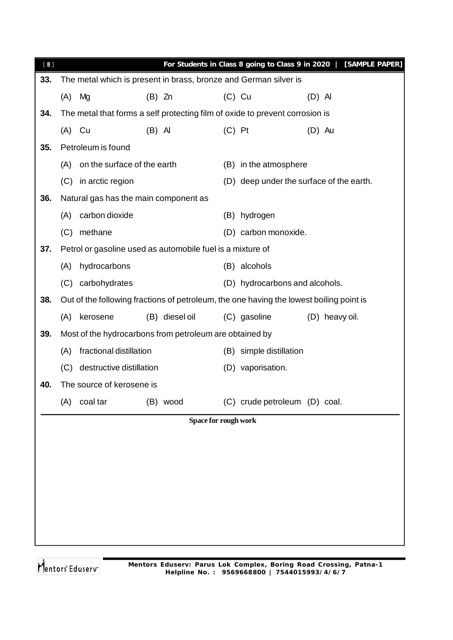| [8] |                                                                              | For Students in Class 8 going to Class 9 in 2020   [SAMPLE PAPER]                       |
|-----|------------------------------------------------------------------------------|-----------------------------------------------------------------------------------------|
| 33. | The metal which is present in brass, bronze and German silver is             |                                                                                         |
|     | (A)<br>$(B)$ Zn<br>Mg                                                        | $(C)$ Cu<br>$(D)$ Al                                                                    |
| 34. | The metal that forms a self protecting film of oxide to prevent corrosion is |                                                                                         |
|     | $(A)$ Cu<br>$(B)$ Al                                                         | $(C)$ Pt<br>$(D)$ Au                                                                    |
| 35. | Petroleum is found                                                           |                                                                                         |
|     | on the surface of the earth<br>(A)                                           | (B) in the atmosphere                                                                   |
|     | in arctic region<br>(C)                                                      | (D) deep under the surface of the earth.                                                |
| 36. | Natural gas has the main component as                                        |                                                                                         |
|     | carbon dioxide<br>(A)                                                        | (B) hydrogen                                                                            |
|     | methane<br>(C)                                                               | (D) carbon monoxide.                                                                    |
| 37. | Petrol or gasoline used as automobile fuel is a mixture of                   |                                                                                         |
|     | hydrocarbons<br>(A)                                                          | (B) alcohols                                                                            |
|     | (C) carbohydrates                                                            | (D) hydrocarbons and alcohols.                                                          |
| 38. |                                                                              | Out of the following fractions of petroleum, the one having the lowest boiling point is |
|     | (B) diesel oil<br>(A)<br>kerosene                                            | (C) gasoline<br>(D) heavy oil.                                                          |
| 39. | Most of the hydrocarbons from petroleum are obtained by                      |                                                                                         |
|     | fractional distillation<br>(A)                                               | (B) simple distillation                                                                 |
|     | destructive distillation<br>(C)                                              | (D) vaporisation.                                                                       |
| 40. | The source of kerosene is                                                    |                                                                                         |
|     | coal tar<br>(B) wood<br>(A)                                                  | (C) crude petroleum (D) coal.                                                           |
|     |                                                                              | Space for rough work                                                                    |
|     |                                                                              |                                                                                         |
|     |                                                                              |                                                                                         |
|     |                                                                              |                                                                                         |
|     |                                                                              |                                                                                         |
|     |                                                                              |                                                                                         |
|     |                                                                              |                                                                                         |
|     |                                                                              |                                                                                         |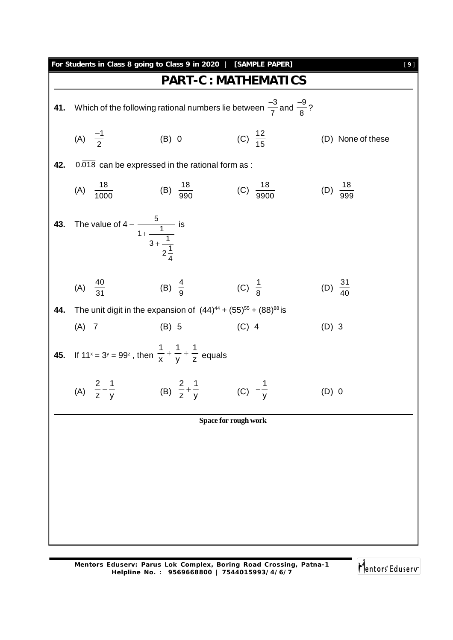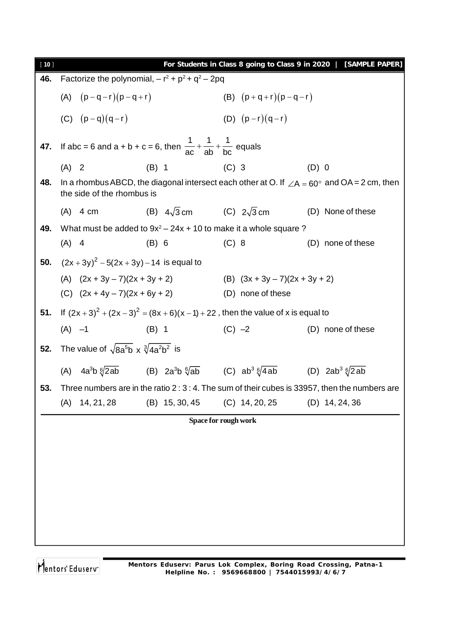| [10] |                                                                                                       |                                       |                                  | For Students in Class 8 going to Class 9 in 2020   [SAMPLE PAPER]                                         |  |  |
|------|-------------------------------------------------------------------------------------------------------|---------------------------------------|----------------------------------|-----------------------------------------------------------------------------------------------------------|--|--|
| 46.  | Factorize the polynomial, $-r^2 + p^2 + q^2 - 2pq$                                                    |                                       |                                  |                                                                                                           |  |  |
|      | (A) $(p-q-r)(p-q+r)$                                                                                  |                                       | (B) $(p+q+r)(p-q-r)$             |                                                                                                           |  |  |
|      | (C) $(p-q)(q-r)$                                                                                      |                                       | (D) $(p-r)(q-r)$                 |                                                                                                           |  |  |
| 47.  | If abc = 6 and a + b + c = 6, then $\frac{1}{ac} + \frac{1}{ab} + \frac{1}{bc}$ equals                |                                       |                                  |                                                                                                           |  |  |
|      | $(A)$ 2                                                                                               | (B) 1 (C) 3                           |                                  | $(D)$ 0                                                                                                   |  |  |
| 48.  | the side of the rhombus is                                                                            |                                       |                                  | In a rhombus ABCD, the diagonal intersect each other at O. If $\angle A = 60^{\circ}$ and OA = 2 cm, then |  |  |
|      | $(A)$ 4 cm                                                                                            | (B) $4\sqrt{3}$ cm (C) $2\sqrt{3}$ cm |                                  | (D) None of these                                                                                         |  |  |
| 49.  | What must be added to $9x^2 - 24x + 10$ to make it a whole square ?                                   |                                       |                                  |                                                                                                           |  |  |
|      | $(A)$ 4                                                                                               | (B) 6                                 | $(C)$ 8                          | (D) none of these                                                                                         |  |  |
| 50.  | $(2x+3y)^2 - 5(2x+3y) - 14$ is equal to                                                               |                                       |                                  |                                                                                                           |  |  |
|      | (A) $(2x + 3y - 7)(2x + 3y + 2)$                                                                      |                                       | (B) $(3x + 3y - 7)(2x + 3y + 2)$ |                                                                                                           |  |  |
|      | (C) $(2x + 4y - 7)(2x + 6y + 2)$                                                                      |                                       | (D) none of these                |                                                                                                           |  |  |
| 51.  | If $(2x+3)^2 + (2x-3)^2 = (8x+6)(x-1) + 22$ , then the value of x is equal to                         |                                       |                                  |                                                                                                           |  |  |
|      | $(A)$ -1                                                                                              | $(C) -2$<br>$(B)$ 1                   |                                  | (D) none of these                                                                                         |  |  |
| 52.  | The value of $\sqrt{8a^5b}$ x $\sqrt[3]{4a^2b^2}$ is                                                  |                                       |                                  |                                                                                                           |  |  |
|      | (A) $4a^3b \sqrt[6]{2ab}$ (B) $2a^3b \sqrt[6]{ab}$ (C) $ab^3 \sqrt[6]{4ab}$ (D) $2ab^3 \sqrt[6]{2ab}$ |                                       |                                  |                                                                                                           |  |  |
| 53.  |                                                                                                       |                                       |                                  | Three numbers are in the ratio 2 : 3 : 4. The sum of their cubes is 33957, then the numbers are           |  |  |
|      | 14, 21, 28<br>(A)                                                                                     | (B) 15, 30, 45                        | $(C)$ 14, 20, 25                 | $(D)$ 14, 24, 36                                                                                          |  |  |
|      |                                                                                                       |                                       | Space for rough work             |                                                                                                           |  |  |
|      |                                                                                                       |                                       |                                  |                                                                                                           |  |  |
|      |                                                                                                       |                                       |                                  |                                                                                                           |  |  |
|      |                                                                                                       |                                       |                                  |                                                                                                           |  |  |
|      |                                                                                                       |                                       |                                  |                                                                                                           |  |  |
|      |                                                                                                       |                                       |                                  |                                                                                                           |  |  |
|      |                                                                                                       |                                       |                                  |                                                                                                           |  |  |
|      |                                                                                                       |                                       |                                  |                                                                                                           |  |  |
|      |                                                                                                       |                                       |                                  |                                                                                                           |  |  |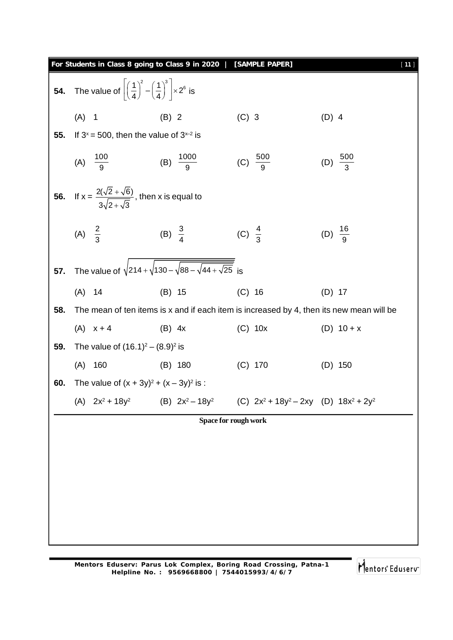|                     |                    |                                                                                                                                                                                                                                                                                                                                                                                     | $[11]$                                                                                                                                                                                                                                                                                       |
|---------------------|--------------------|-------------------------------------------------------------------------------------------------------------------------------------------------------------------------------------------------------------------------------------------------------------------------------------------------------------------------------------------------------------------------------------|----------------------------------------------------------------------------------------------------------------------------------------------------------------------------------------------------------------------------------------------------------------------------------------------|
|                     |                    |                                                                                                                                                                                                                                                                                                                                                                                     |                                                                                                                                                                                                                                                                                              |
| $(A)$ 1             | $(B)$ 2            | $(C)$ 3                                                                                                                                                                                                                                                                                                                                                                             | $(D)$ 4                                                                                                                                                                                                                                                                                      |
|                     |                    |                                                                                                                                                                                                                                                                                                                                                                                     |                                                                                                                                                                                                                                                                                              |
| (A) $\frac{100}{9}$ |                    | (C) $\frac{500}{9}$                                                                                                                                                                                                                                                                                                                                                                 | (D) $\frac{500}{3}$                                                                                                                                                                                                                                                                          |
|                     |                    |                                                                                                                                                                                                                                                                                                                                                                                     |                                                                                                                                                                                                                                                                                              |
| (A) $\frac{2}{3}$   |                    |                                                                                                                                                                                                                                                                                                                                                                                     | (D) $\frac{16}{9}$                                                                                                                                                                                                                                                                           |
|                     |                    |                                                                                                                                                                                                                                                                                                                                                                                     |                                                                                                                                                                                                                                                                                              |
| $(A)$ 14            | $(B)$ 15           | $(C)$ 16                                                                                                                                                                                                                                                                                                                                                                            | $(D)$ 17                                                                                                                                                                                                                                                                                     |
|                     |                    |                                                                                                                                                                                                                                                                                                                                                                                     |                                                                                                                                                                                                                                                                                              |
| $(A)$ $x + 4$       | $(B)$ 4x           | $(C)$ 10x                                                                                                                                                                                                                                                                                                                                                                           | (D) $10 + x$                                                                                                                                                                                                                                                                                 |
|                     |                    |                                                                                                                                                                                                                                                                                                                                                                                     |                                                                                                                                                                                                                                                                                              |
| (A)<br>160          | $(B)$ 180          | $(C)$ 170                                                                                                                                                                                                                                                                                                                                                                           | $(D)$ 150                                                                                                                                                                                                                                                                                    |
|                     |                    |                                                                                                                                                                                                                                                                                                                                                                                     |                                                                                                                                                                                                                                                                                              |
| (A) $2x^2 + 18y^2$  | (B) $2x^2 - 18y^2$ | (C) $2x^2 + 18y^2 - 2xy$ (D) $18x^2 + 2y^2$                                                                                                                                                                                                                                                                                                                                         |                                                                                                                                                                                                                                                                                              |
|                     |                    |                                                                                                                                                                                                                                                                                                                                                                                     |                                                                                                                                                                                                                                                                                              |
|                     |                    |                                                                                                                                                                                                                                                                                                                                                                                     |                                                                                                                                                                                                                                                                                              |
|                     |                    |                                                                                                                                                                                                                                                                                                                                                                                     |                                                                                                                                                                                                                                                                                              |
|                     |                    |                                                                                                                                                                                                                                                                                                                                                                                     |                                                                                                                                                                                                                                                                                              |
|                     |                    |                                                                                                                                                                                                                                                                                                                                                                                     |                                                                                                                                                                                                                                                                                              |
|                     |                    |                                                                                                                                                                                                                                                                                                                                                                                     |                                                                                                                                                                                                                                                                                              |
|                     |                    |                                                                                                                                                                                                                                                                                                                                                                                     |                                                                                                                                                                                                                                                                                              |
|                     |                    | The value of $\left  \left( \frac{1}{4} \right)^2 - \left( \frac{1}{4} \right)^3 \right  \times 2^6$ is<br>If $3^x = 500$ , then the value of $3^{x-2}$ is<br>(B) $\frac{1000}{9}$<br>If $x = \frac{2(\sqrt{2} + \sqrt{6})}{3\sqrt{2 + \sqrt{3}}}$ , then x is equal to<br>(B) $\frac{3}{4}$<br>The value of $(16.1)^2 - (8.9)^2$ is<br>The value of $(x + 3y)^2 + (x - 3y)^2$ is : | For Students in Class 8 going to Class 9 in 2020   [SAMPLE PAPER]<br>(C) $\frac{4}{3}$<br>The value of $\sqrt{214 + \sqrt{130 - \sqrt{88 - \sqrt{44 + \sqrt{25}}}}\}$ is<br>The mean of ten items is x and if each item is increased by 4, then its new mean will be<br>Space for rough work |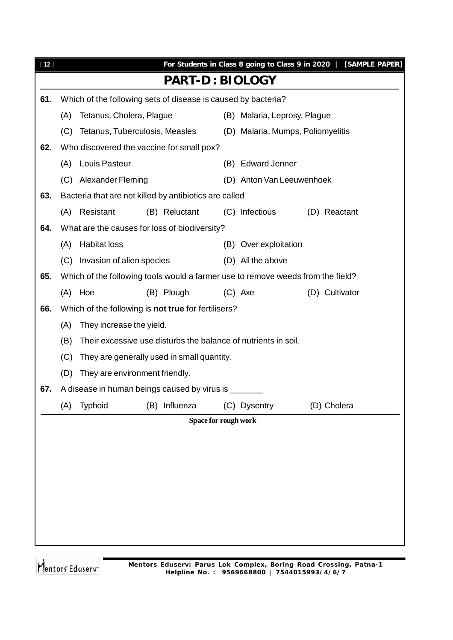|     |                     |                |                       |                                                                                                                                                                                                           |                                                                                                                                                                                                 |                                                                                                                                                                                                                                                                                                                                                                                                                     | For Students in Class 8 going to Class 9 in 2020   [SAMPLE PAPER]                                                                                                                 |
|-----|---------------------|----------------|-----------------------|-----------------------------------------------------------------------------------------------------------------------------------------------------------------------------------------------------------|-------------------------------------------------------------------------------------------------------------------------------------------------------------------------------------------------|---------------------------------------------------------------------------------------------------------------------------------------------------------------------------------------------------------------------------------------------------------------------------------------------------------------------------------------------------------------------------------------------------------------------|-----------------------------------------------------------------------------------------------------------------------------------------------------------------------------------|
|     |                     |                |                       |                                                                                                                                                                                                           |                                                                                                                                                                                                 |                                                                                                                                                                                                                                                                                                                                                                                                                     |                                                                                                                                                                                   |
|     |                     |                |                       |                                                                                                                                                                                                           |                                                                                                                                                                                                 |                                                                                                                                                                                                                                                                                                                                                                                                                     |                                                                                                                                                                                   |
| (A) |                     |                |                       |                                                                                                                                                                                                           |                                                                                                                                                                                                 |                                                                                                                                                                                                                                                                                                                                                                                                                     |                                                                                                                                                                                   |
| (C) |                     |                |                       |                                                                                                                                                                                                           |                                                                                                                                                                                                 |                                                                                                                                                                                                                                                                                                                                                                                                                     |                                                                                                                                                                                   |
|     |                     |                |                       |                                                                                                                                                                                                           |                                                                                                                                                                                                 |                                                                                                                                                                                                                                                                                                                                                                                                                     |                                                                                                                                                                                   |
| (A) | Louis Pasteur       |                |                       |                                                                                                                                                                                                           |                                                                                                                                                                                                 |                                                                                                                                                                                                                                                                                                                                                                                                                     |                                                                                                                                                                                   |
|     |                     |                |                       |                                                                                                                                                                                                           |                                                                                                                                                                                                 |                                                                                                                                                                                                                                                                                                                                                                                                                     |                                                                                                                                                                                   |
|     |                     |                |                       |                                                                                                                                                                                                           |                                                                                                                                                                                                 |                                                                                                                                                                                                                                                                                                                                                                                                                     |                                                                                                                                                                                   |
|     | Resistant           |                |                       |                                                                                                                                                                                                           |                                                                                                                                                                                                 |                                                                                                                                                                                                                                                                                                                                                                                                                     | (D) Reactant                                                                                                                                                                      |
|     |                     |                |                       |                                                                                                                                                                                                           |                                                                                                                                                                                                 |                                                                                                                                                                                                                                                                                                                                                                                                                     |                                                                                                                                                                                   |
| (A) | <b>Habitat loss</b> |                |                       |                                                                                                                                                                                                           |                                                                                                                                                                                                 |                                                                                                                                                                                                                                                                                                                                                                                                                     |                                                                                                                                                                                   |
|     |                     |                |                       |                                                                                                                                                                                                           |                                                                                                                                                                                                 |                                                                                                                                                                                                                                                                                                                                                                                                                     |                                                                                                                                                                                   |
|     |                     |                |                       |                                                                                                                                                                                                           |                                                                                                                                                                                                 |                                                                                                                                                                                                                                                                                                                                                                                                                     |                                                                                                                                                                                   |
|     |                     |                |                       |                                                                                                                                                                                                           |                                                                                                                                                                                                 |                                                                                                                                                                                                                                                                                                                                                                                                                     | (D) Cultivator                                                                                                                                                                    |
|     |                     |                |                       |                                                                                                                                                                                                           |                                                                                                                                                                                                 |                                                                                                                                                                                                                                                                                                                                                                                                                     |                                                                                                                                                                                   |
| (A) |                     |                |                       |                                                                                                                                                                                                           |                                                                                                                                                                                                 |                                                                                                                                                                                                                                                                                                                                                                                                                     |                                                                                                                                                                                   |
| (B) |                     |                |                       |                                                                                                                                                                                                           |                                                                                                                                                                                                 |                                                                                                                                                                                                                                                                                                                                                                                                                     |                                                                                                                                                                                   |
| (C) |                     |                |                       |                                                                                                                                                                                                           |                                                                                                                                                                                                 |                                                                                                                                                                                                                                                                                                                                                                                                                     |                                                                                                                                                                                   |
| (D) |                     |                |                       |                                                                                                                                                                                                           |                                                                                                                                                                                                 |                                                                                                                                                                                                                                                                                                                                                                                                                     |                                                                                                                                                                                   |
|     |                     |                |                       |                                                                                                                                                                                                           |                                                                                                                                                                                                 |                                                                                                                                                                                                                                                                                                                                                                                                                     |                                                                                                                                                                                   |
| (A) | Typhoid             |                |                       |                                                                                                                                                                                                           |                                                                                                                                                                                                 |                                                                                                                                                                                                                                                                                                                                                                                                                     | (D) Cholera                                                                                                                                                                       |
|     |                     |                |                       |                                                                                                                                                                                                           |                                                                                                                                                                                                 |                                                                                                                                                                                                                                                                                                                                                                                                                     |                                                                                                                                                                                   |
|     |                     |                |                       |                                                                                                                                                                                                           |                                                                                                                                                                                                 |                                                                                                                                                                                                                                                                                                                                                                                                                     |                                                                                                                                                                                   |
|     |                     |                |                       |                                                                                                                                                                                                           |                                                                                                                                                                                                 |                                                                                                                                                                                                                                                                                                                                                                                                                     |                                                                                                                                                                                   |
|     |                     |                |                       |                                                                                                                                                                                                           |                                                                                                                                                                                                 |                                                                                                                                                                                                                                                                                                                                                                                                                     |                                                                                                                                                                                   |
|     |                     |                |                       |                                                                                                                                                                                                           |                                                                                                                                                                                                 |                                                                                                                                                                                                                                                                                                                                                                                                                     |                                                                                                                                                                                   |
|     |                     |                |                       |                                                                                                                                                                                                           |                                                                                                                                                                                                 |                                                                                                                                                                                                                                                                                                                                                                                                                     |                                                                                                                                                                                   |
|     |                     |                |                       |                                                                                                                                                                                                           |                                                                                                                                                                                                 |                                                                                                                                                                                                                                                                                                                                                                                                                     |                                                                                                                                                                                   |
|     |                     |                |                       |                                                                                                                                                                                                           |                                                                                                                                                                                                 |                                                                                                                                                                                                                                                                                                                                                                                                                     |                                                                                                                                                                                   |
|     |                     | (A)<br>(A) Hoe | (C) Alexander Fleming | Tetanus, Cholera, Plague<br>Tetanus, Tuberculosis, Measles<br>(B) Reluctant<br>(C) Invasion of alien species<br>(B) Plough<br>They increase the yield.<br>They are environment friendly.<br>(B) Influenza | Who discovered the vaccine for small pox?<br>What are the causes for loss of biodiversity?<br>Which of the following is not true for fertilisers?<br>They are generally used in small quantity. | <b>PART-D: BIOLOGY</b><br>Which of the following sets of disease is caused by bacteria?<br>(B) Edward Jenner<br>Bacteria that are not killed by antibiotics are called<br>(C) Infectious<br>(B) Over exploitation<br>(D) All the above<br>$(C)$ Axe<br>Their excessive use disturbs the balance of nutrients in soil.<br>A disease in human beings caused by virus is _____<br>(C) Dysentry<br>Space for rough work | (B) Malaria, Leprosy, Plague<br>(D) Malaria, Mumps, Poliomyelitis<br>(D) Anton Van Leeuwenhoek<br>Which of the following tools would a farmer use to remove weeds from the field? |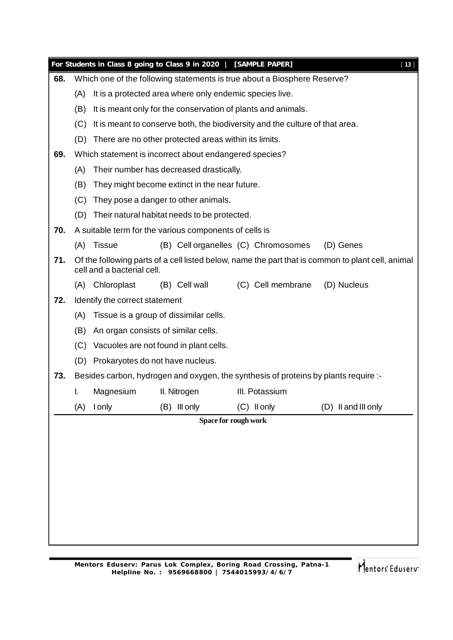|     |     |                                                                              | For Students in Class 8 going to Class 9 in 2020   [SAMPLE PAPER] |                                                                                     | $[13]$                                                                                            |  |  |  |  |
|-----|-----|------------------------------------------------------------------------------|-------------------------------------------------------------------|-------------------------------------------------------------------------------------|---------------------------------------------------------------------------------------------------|--|--|--|--|
| 68. |     |                                                                              |                                                                   | Which one of the following statements is true about a Biosphere Reserve?            |                                                                                                   |  |  |  |  |
|     | (A) | It is a protected area where only endemic species live.                      |                                                                   |                                                                                     |                                                                                                   |  |  |  |  |
|     | (B) | It is meant only for the conservation of plants and animals.                 |                                                                   |                                                                                     |                                                                                                   |  |  |  |  |
|     | (C) | It is meant to conserve both, the biodiversity and the culture of that area. |                                                                   |                                                                                     |                                                                                                   |  |  |  |  |
|     | (D) |                                                                              | There are no other protected areas within its limits.             |                                                                                     |                                                                                                   |  |  |  |  |
| 69. |     |                                                                              | Which statement is incorrect about endangered species?            |                                                                                     |                                                                                                   |  |  |  |  |
|     | (A) |                                                                              | Their number has decreased drastically.                           |                                                                                     |                                                                                                   |  |  |  |  |
|     | (B) |                                                                              | They might become extinct in the near future.                     |                                                                                     |                                                                                                   |  |  |  |  |
|     | (C) |                                                                              | They pose a danger to other animals.                              |                                                                                     |                                                                                                   |  |  |  |  |
|     |     |                                                                              | (D) Their natural habitat needs to be protected.                  |                                                                                     |                                                                                                   |  |  |  |  |
| 70. |     |                                                                              | A suitable term for the various components of cells is            |                                                                                     |                                                                                                   |  |  |  |  |
|     | (A) | <b>Tissue</b>                                                                |                                                                   | (B) Cell organelles (C) Chromosomes                                                 | (D) Genes                                                                                         |  |  |  |  |
| 71. |     | cell and a bacterial cell.                                                   |                                                                   |                                                                                     | Of the following parts of a cell listed below, name the part that is common to plant cell, animal |  |  |  |  |
|     | (A) | Chloroplast                                                                  | (B) Cell wall                                                     | (C) Cell membrane                                                                   | (D) Nucleus                                                                                       |  |  |  |  |
| 72. |     | Identify the correct statement                                               |                                                                   |                                                                                     |                                                                                                   |  |  |  |  |
|     | (A) |                                                                              | Tissue is a group of dissimilar cells.                            |                                                                                     |                                                                                                   |  |  |  |  |
|     | (B) |                                                                              | An organ consists of similar cells.                               |                                                                                     |                                                                                                   |  |  |  |  |
|     | (C) |                                                                              | Vacuoles are not found in plant cells.                            |                                                                                     |                                                                                                   |  |  |  |  |
|     |     | (D) Prokaryotes do not have nucleus.                                         |                                                                   |                                                                                     |                                                                                                   |  |  |  |  |
| 73. |     |                                                                              |                                                                   | Besides carbon, hydrogen and oxygen, the synthesis of proteins by plants require :- |                                                                                                   |  |  |  |  |
|     | I.  | Magnesium                                                                    | II. Nitrogen                                                      | III. Potassium                                                                      |                                                                                                   |  |  |  |  |
|     | (A) | <b>I</b> only                                                                | (B) Ill only                                                      | (C) Il only                                                                         | (D) II and III only                                                                               |  |  |  |  |
|     |     |                                                                              |                                                                   | Space for rough work                                                                |                                                                                                   |  |  |  |  |
|     |     |                                                                              |                                                                   |                                                                                     |                                                                                                   |  |  |  |  |
|     |     |                                                                              |                                                                   |                                                                                     |                                                                                                   |  |  |  |  |
|     |     |                                                                              |                                                                   |                                                                                     |                                                                                                   |  |  |  |  |
|     |     |                                                                              |                                                                   |                                                                                     |                                                                                                   |  |  |  |  |
|     |     |                                                                              |                                                                   |                                                                                     |                                                                                                   |  |  |  |  |
|     |     |                                                                              |                                                                   |                                                                                     |                                                                                                   |  |  |  |  |
|     |     |                                                                              |                                                                   |                                                                                     |                                                                                                   |  |  |  |  |
|     |     |                                                                              |                                                                   |                                                                                     |                                                                                                   |  |  |  |  |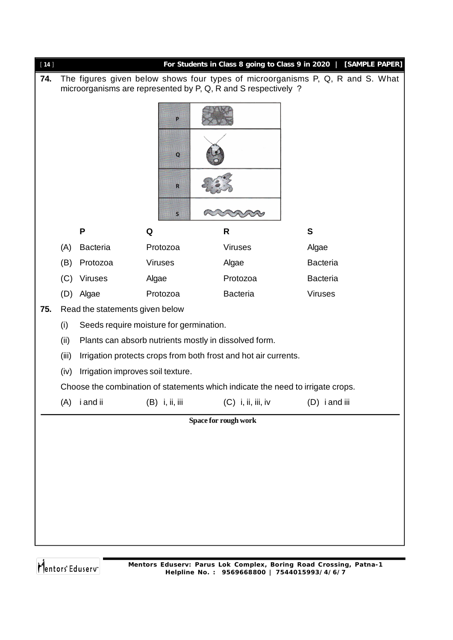| $[14]$ |       |                                         |       |                   | For Students in Class 8 going to Class 9 in 2020   [SAMPLE PAPER]                                                                                |                 |  |
|--------|-------|-----------------------------------------|-------|-------------------|--------------------------------------------------------------------------------------------------------------------------------------------------|-----------------|--|
| 74.    |       |                                         |       |                   | The figures given below shows four types of microorganisms P, Q, R and S. What<br>microorganisms are represented by P, Q, R and S respectively ? |                 |  |
|        |       |                                         |       | P.<br>$\mathbf Q$ |                                                                                                                                                  |                 |  |
|        |       |                                         |       | R                 |                                                                                                                                                  |                 |  |
|        |       |                                         |       | $\mathsf{S}$      |                                                                                                                                                  |                 |  |
|        |       | P                                       | Q     |                   | R                                                                                                                                                | $\mathbf{s}$    |  |
|        | (A)   | <b>Bacteria</b>                         |       | Protozoa          | <b>Viruses</b>                                                                                                                                   | Algae           |  |
|        | (B)   | Protozoa                                |       | <b>Viruses</b>    | Algae                                                                                                                                            | <b>Bacteria</b> |  |
|        | (C)   | <b>Viruses</b>                          | Algae |                   | Protozoa                                                                                                                                         | <b>Bacteria</b> |  |
|        | (D)   | Algae                                   |       | Protozoa          | <b>Bacteria</b>                                                                                                                                  | <b>Viruses</b>  |  |
| 75.    |       | Read the statements given below         |       |                   |                                                                                                                                                  |                 |  |
|        | (i)   | Seeds require moisture for germination. |       |                   |                                                                                                                                                  |                 |  |
|        | (ii)  |                                         |       |                   | Plants can absorb nutrients mostly in dissolved form.                                                                                            |                 |  |
|        | (iii) |                                         |       |                   | Irrigation protects crops from both frost and hot air currents.                                                                                  |                 |  |
|        | (iv)  | Irrigation improves soil texture.       |       |                   |                                                                                                                                                  |                 |  |
|        |       |                                         |       |                   | Choose the combination of statements which indicate the need to irrigate crops.                                                                  |                 |  |
|        | (A)   | i and ii                                |       | (B) i, ii, iii    | $(C)$ i, ii, iii, iv                                                                                                                             | (D) i and iii   |  |
|        |       |                                         |       |                   | Space for rough work                                                                                                                             |                 |  |
|        |       |                                         |       |                   |                                                                                                                                                  |                 |  |
|        |       |                                         |       |                   |                                                                                                                                                  |                 |  |
|        |       |                                         |       |                   |                                                                                                                                                  |                 |  |
|        |       |                                         |       |                   |                                                                                                                                                  |                 |  |
|        |       |                                         |       |                   |                                                                                                                                                  |                 |  |
|        |       |                                         |       |                   |                                                                                                                                                  |                 |  |
|        |       |                                         |       |                   |                                                                                                                                                  |                 |  |
|        |       |                                         |       |                   |                                                                                                                                                  |                 |  |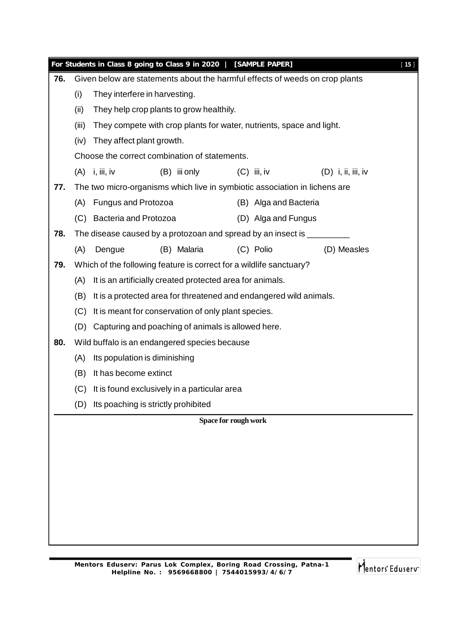|     |       |                                                                      | For Students in Class 8 going to Class 9 in 2020   [SAMPLE PAPER]            |                      |                       |                      | $[15]$ |  |  |
|-----|-------|----------------------------------------------------------------------|------------------------------------------------------------------------------|----------------------|-----------------------|----------------------|--------|--|--|
| 76. |       |                                                                      | Given below are statements about the harmful effects of weeds on crop plants |                      |                       |                      |        |  |  |
|     | (i)   | They interfere in harvesting.                                        |                                                                              |                      |                       |                      |        |  |  |
|     | (ii)  |                                                                      | They help crop plants to grow healthily.                                     |                      |                       |                      |        |  |  |
|     | (iii) | They compete with crop plants for water, nutrients, space and light. |                                                                              |                      |                       |                      |        |  |  |
|     | (iv)  | They affect plant growth.                                            |                                                                              |                      |                       |                      |        |  |  |
|     |       |                                                                      | Choose the correct combination of statements.                                |                      |                       |                      |        |  |  |
|     |       | $(A)$ i, iii, iv                                                     | (B) iii only                                                                 | $(C)$ iii, iv        |                       | $(D)$ i, ii, iii, iv |        |  |  |
| 77. |       |                                                                      | The two micro-organisms which live in symbiotic association in lichens are   |                      |                       |                      |        |  |  |
|     |       | (A) Fungus and Protozoa                                              |                                                                              |                      | (B) Alga and Bacteria |                      |        |  |  |
|     |       | (C) Bacteria and Protozoa                                            |                                                                              |                      | (D) Alga and Fungus   |                      |        |  |  |
| 78. |       |                                                                      | The disease caused by a protozoan and spread by an insect is ________        |                      |                       |                      |        |  |  |
|     | (A)   | Dengue                                                               | (B) Malaria                                                                  | (C) Polio            |                       | (D) Measles          |        |  |  |
| 79. |       |                                                                      | Which of the following feature is correct for a wildlife sanctuary?          |                      |                       |                      |        |  |  |
|     | (A)   |                                                                      | It is an artificially created protected area for animals.                    |                      |                       |                      |        |  |  |
|     | (B)   |                                                                      | It is a protected area for threatened and endangered wild animals.           |                      |                       |                      |        |  |  |
|     | (C)   |                                                                      | It is meant for conservation of only plant species.                          |                      |                       |                      |        |  |  |
|     |       |                                                                      | (D) Capturing and poaching of animals is allowed here.                       |                      |                       |                      |        |  |  |
| 80. |       |                                                                      | Wild buffalo is an endangered species because                                |                      |                       |                      |        |  |  |
|     | (A)   | Its population is diminishing                                        |                                                                              |                      |                       |                      |        |  |  |
|     | (B)   | It has become extinct                                                |                                                                              |                      |                       |                      |        |  |  |
|     | (C)   |                                                                      | It is found exclusively in a particular area                                 |                      |                       |                      |        |  |  |
|     |       | (D) Its poaching is strictly prohibited                              |                                                                              |                      |                       |                      |        |  |  |
|     |       |                                                                      |                                                                              | Space for rough work |                       |                      |        |  |  |
|     |       |                                                                      |                                                                              |                      |                       |                      |        |  |  |
|     |       |                                                                      |                                                                              |                      |                       |                      |        |  |  |
|     |       |                                                                      |                                                                              |                      |                       |                      |        |  |  |
|     |       |                                                                      |                                                                              |                      |                       |                      |        |  |  |
|     |       |                                                                      |                                                                              |                      |                       |                      |        |  |  |
|     |       |                                                                      |                                                                              |                      |                       |                      |        |  |  |
|     |       |                                                                      |                                                                              |                      |                       |                      |        |  |  |
|     |       |                                                                      |                                                                              |                      |                       |                      |        |  |  |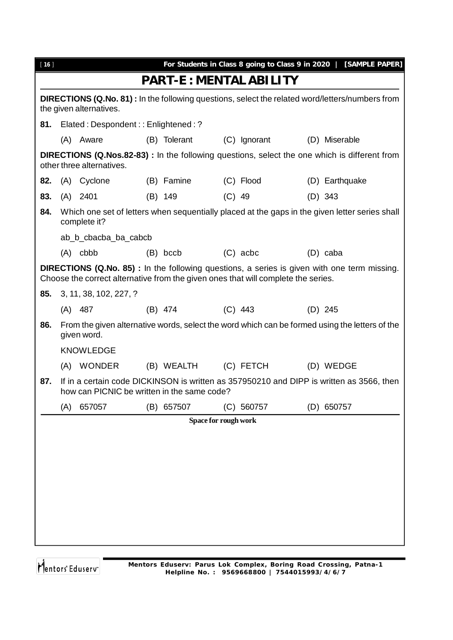| $[16]$ |                                                                                                                                   |                                             |  |                      |          |                                                                                   |  | For Students in Class 8 going to Class 9 in 2020   [SAMPLE PAPER]                                    |
|--------|-----------------------------------------------------------------------------------------------------------------------------------|---------------------------------------------|--|----------------------|----------|-----------------------------------------------------------------------------------|--|------------------------------------------------------------------------------------------------------|
|        |                                                                                                                                   |                                             |  |                      |          | <b>PART-E: MENTAL ABILITY</b>                                                     |  |                                                                                                      |
|        | <b>DIRECTIONS (Q.No. 81):</b> In the following questions, select the related word/letters/numbers from<br>the given alternatives. |                                             |  |                      |          |                                                                                   |  |                                                                                                      |
| 81.    |                                                                                                                                   | Elated: Despondent:: Enlightened: ?         |  |                      |          |                                                                                   |  |                                                                                                      |
|        |                                                                                                                                   | (A) Aware                                   |  | (B) Tolerant         |          | (C) Ignorant                                                                      |  | (D) Miserable                                                                                        |
|        |                                                                                                                                   | other three alternatives.                   |  |                      |          |                                                                                   |  | <b>DIRECTIONS (Q.Nos.82-83)</b> : In the following questions, select the one which is different from |
| 82.    |                                                                                                                                   | (A) Cyclone                                 |  | (B) Famine           |          | (C) Flood                                                                         |  | (D) Earthquake                                                                                       |
| 83.    |                                                                                                                                   | $(A)$ 2401                                  |  | (B) 149              | $(C)$ 49 |                                                                                   |  | $(D)$ 343                                                                                            |
| 84.    |                                                                                                                                   | complete it?                                |  |                      |          |                                                                                   |  | Which one set of letters when sequentially placed at the gaps in the given letter series shall       |
|        |                                                                                                                                   | ab_b_cbacba_ba_cabcb                        |  |                      |          |                                                                                   |  |                                                                                                      |
|        |                                                                                                                                   | $(A)$ cbbb                                  |  | $(B)$ bccb           |          | $(C)$ acbc                                                                        |  | (D) caba                                                                                             |
|        |                                                                                                                                   |                                             |  |                      |          | Choose the correct alternative from the given ones that will complete the series. |  | <b>DIRECTIONS (Q.No. 85)</b> : In the following questions, a series is given with one term missing.  |
| 85.    |                                                                                                                                   | 3, 11, 38, 102, 227, ?                      |  |                      |          |                                                                                   |  |                                                                                                      |
|        |                                                                                                                                   | $(A)$ 487                                   |  | (B) 474              |          | $(C)$ 443                                                                         |  | $(D)$ 245                                                                                            |
| 86.    |                                                                                                                                   | given word.                                 |  |                      |          |                                                                                   |  | From the given alternative words, select the word which can be formed using the letters of the       |
|        |                                                                                                                                   | <b>KNOWLEDGE</b>                            |  |                      |          |                                                                                   |  |                                                                                                      |
|        |                                                                                                                                   | (A) WONDER                                  |  | (B) WEALTH           |          | (C) FETCH                                                                         |  | (D) WEDGE                                                                                            |
| 87.    |                                                                                                                                   | how can PICNIC be written in the same code? |  |                      |          |                                                                                   |  | If in a certain code DICKINSON is written as 357950210 and DIPP is written as 3566, then             |
|        | (A)                                                                                                                               | 657057                                      |  | (B) 657507           |          | (C) 560757                                                                        |  | (D) 650757                                                                                           |
|        |                                                                                                                                   |                                             |  | Space for rough work |          |                                                                                   |  |                                                                                                      |
|        |                                                                                                                                   |                                             |  |                      |          |                                                                                   |  |                                                                                                      |
|        |                                                                                                                                   |                                             |  |                      |          |                                                                                   |  |                                                                                                      |
|        |                                                                                                                                   |                                             |  |                      |          |                                                                                   |  |                                                                                                      |
|        |                                                                                                                                   |                                             |  |                      |          |                                                                                   |  |                                                                                                      |
|        |                                                                                                                                   |                                             |  |                      |          |                                                                                   |  |                                                                                                      |
|        |                                                                                                                                   |                                             |  |                      |          |                                                                                   |  |                                                                                                      |
|        |                                                                                                                                   |                                             |  |                      |          |                                                                                   |  |                                                                                                      |
|        |                                                                                                                                   |                                             |  |                      |          |                                                                                   |  |                                                                                                      |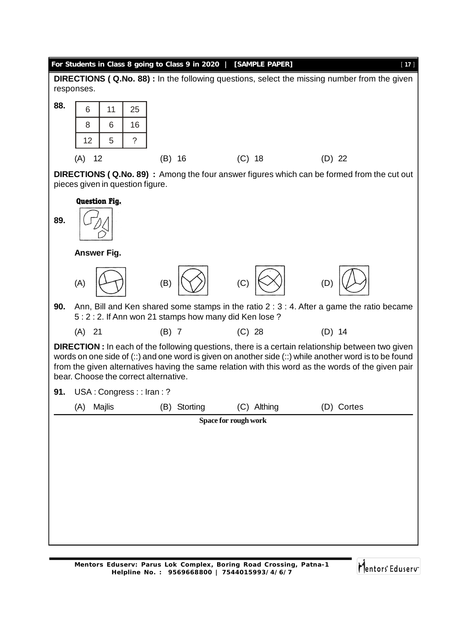## **For Students in Class 8 going to Class 9 in 2020 | [SAMPLE PAPER]** [ **17** ] **DIRECTIONS ( Q.No. 88) :** In the following questions, select the missing number from the given responses. **88.** 6 11 25 8 6 16  $12 \mid 5 \mid ?$ (A) 12 (B) 16 (C) 18 (D) 22 **DIRECTIONS ( Q.No. 89) :** Among the four answer figures which can be formed from the cut out pieces given in question figure. **Question Fig. 89. Answer Fig.** (A)  $\left|\left\langle \begin{array}{cc} \perp & \perp \\ \perp & \end{array}\right\rangle\right|$  (B)  $\left|\left\langle \begin{array}{cc} \diagup \\ \diagup \end{array}\right\rangle\right|$  (C)  $\left|\left\langle \begin{array}{cc} \diagup \\ \diagup \end{array}\right\rangle\right|$  (D) **90.** Ann, Bill and Ken shared some stamps in the ratio 2 : 3 : 4. After a game the ratio became 5 : 2 : 2. If Ann won 21 stamps how many did Ken lose ? (A) 21 (B) 7 (C) 28 (D) 14 **DIRECTION :** In each of the following questions, there is a certain relationship between two given words on one side of (::) and one word is given on another side (::) while another word is to be found from the given alternatives having the same relation with this word as the words of the given pair bear. Choose the correct alternative. 91. USA: Congress:: Iran:? (A) Majlis (B) Storting (C) Althing (D) Cortes**Space for rough work**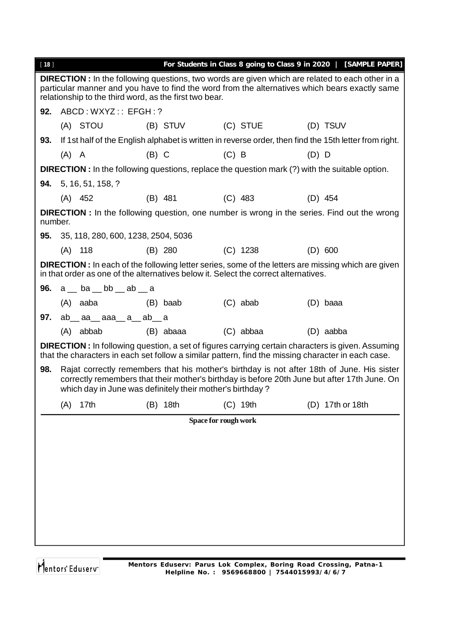| $[18]$                                                                                                                                                                                                                                                              |                                                                                                                                                                                                                                                         |                                                    |         |                      |         |            |         | For Students in Class 8 going to Class 9 in 2020   [SAMPLE PAPER]                                                                                                                                               |  |  |
|---------------------------------------------------------------------------------------------------------------------------------------------------------------------------------------------------------------------------------------------------------------------|---------------------------------------------------------------------------------------------------------------------------------------------------------------------------------------------------------------------------------------------------------|----------------------------------------------------|---------|----------------------|---------|------------|---------|-----------------------------------------------------------------------------------------------------------------------------------------------------------------------------------------------------------------|--|--|
| <b>DIRECTION</b> : In the following questions, two words are given which are related to each other in a<br>particular manner and you have to find the word from the alternatives which bears exactly same<br>relationship to the third word, as the first two bear. |                                                                                                                                                                                                                                                         |                                                    |         |                      |         |            |         |                                                                                                                                                                                                                 |  |  |
| 92.                                                                                                                                                                                                                                                                 | ABCD: WXYZ:: EFGH: ?                                                                                                                                                                                                                                    |                                                    |         |                      |         |            |         |                                                                                                                                                                                                                 |  |  |
|                                                                                                                                                                                                                                                                     |                                                                                                                                                                                                                                                         | (A) STOU                                           |         | (C) STUE<br>(B) STUV |         |            |         | (D) TSUV                                                                                                                                                                                                        |  |  |
| 93.                                                                                                                                                                                                                                                                 | If 1st half of the English alphabet is written in reverse order, then find the 15th letter from right.                                                                                                                                                  |                                                    |         |                      |         |            |         |                                                                                                                                                                                                                 |  |  |
|                                                                                                                                                                                                                                                                     | $(A)$ A                                                                                                                                                                                                                                                 |                                                    | $(B)$ C |                      | $(C)$ B |            | $(D)$ D |                                                                                                                                                                                                                 |  |  |
| <b>DIRECTION</b> : In the following questions, replace the question mark (?) with the suitable option.                                                                                                                                                              |                                                                                                                                                                                                                                                         |                                                    |         |                      |         |            |         |                                                                                                                                                                                                                 |  |  |
|                                                                                                                                                                                                                                                                     |                                                                                                                                                                                                                                                         | <b>94.</b> 5, 16, 51, 158, ?                       |         |                      |         |            |         |                                                                                                                                                                                                                 |  |  |
|                                                                                                                                                                                                                                                                     | $(A)$ 452                                                                                                                                                                                                                                               |                                                    |         | $(B)$ 481            |         | $(C)$ 483  |         | $(D)$ 454                                                                                                                                                                                                       |  |  |
| <b>DIRECTION</b> : In the following question, one number is wrong in the series. Find out the wrong<br>number.                                                                                                                                                      |                                                                                                                                                                                                                                                         |                                                    |         |                      |         |            |         |                                                                                                                                                                                                                 |  |  |
|                                                                                                                                                                                                                                                                     |                                                                                                                                                                                                                                                         | 95. 35, 118, 280, 600, 1238, 2504, 5036            |         |                      |         |            |         |                                                                                                                                                                                                                 |  |  |
|                                                                                                                                                                                                                                                                     | $(A)$ 118                                                                                                                                                                                                                                               |                                                    |         | $(B)$ 280            |         | $(C)$ 1238 |         | (D) 600                                                                                                                                                                                                         |  |  |
| <b>DIRECTION</b> : In each of the following letter series, some of the letters are missing which are given<br>in that order as one of the alternatives below it. Select the correct alternatives.                                                                   |                                                                                                                                                                                                                                                         |                                                    |         |                      |         |            |         |                                                                                                                                                                                                                 |  |  |
|                                                                                                                                                                                                                                                                     |                                                                                                                                                                                                                                                         | <b>96.</b> $a_{-}$ ba $_{-}$ bb $_{-}$ ab $_{-}$ a |         |                      |         |            |         |                                                                                                                                                                                                                 |  |  |
|                                                                                                                                                                                                                                                                     |                                                                                                                                                                                                                                                         | (A) aaba                                           |         | (B) baab             |         | $(C)$ abab |         | (D) baaa                                                                                                                                                                                                        |  |  |
| 97.                                                                                                                                                                                                                                                                 |                                                                                                                                                                                                                                                         | $ab$ <sub>aa</sub> $aa$ aaa $a$ $ab$ $a$           |         |                      |         |            |         |                                                                                                                                                                                                                 |  |  |
|                                                                                                                                                                                                                                                                     |                                                                                                                                                                                                                                                         | $(A)$ abbab                                        |         | (B) abaaa            |         | (C) abbaa  |         | (D) aabba                                                                                                                                                                                                       |  |  |
|                                                                                                                                                                                                                                                                     |                                                                                                                                                                                                                                                         |                                                    |         |                      |         |            |         | <b>DIRECTION</b> : In following question, a set of figures carrying certain characters is given. Assuming<br>that the characters in each set follow a similar pattern, find the missing character in each case. |  |  |
| 98.                                                                                                                                                                                                                                                                 | Rajat correctly remembers that his mother's birthday is not after 18th of June. His sister<br>correctly remembers that their mother's birthday is before 20th June but after 17th June. On<br>which day in June was definitely their mother's birthday? |                                                    |         |                      |         |            |         |                                                                                                                                                                                                                 |  |  |
|                                                                                                                                                                                                                                                                     | (A)                                                                                                                                                                                                                                                     | 17th                                               |         | (B) 18th             |         | $(C)$ 19th |         | (D) 17th or 18th                                                                                                                                                                                                |  |  |
|                                                                                                                                                                                                                                                                     |                                                                                                                                                                                                                                                         |                                                    |         | Space for rough work |         |            |         |                                                                                                                                                                                                                 |  |  |
|                                                                                                                                                                                                                                                                     |                                                                                                                                                                                                                                                         |                                                    |         |                      |         |            |         |                                                                                                                                                                                                                 |  |  |
|                                                                                                                                                                                                                                                                     |                                                                                                                                                                                                                                                         |                                                    |         |                      |         |            |         |                                                                                                                                                                                                                 |  |  |
|                                                                                                                                                                                                                                                                     |                                                                                                                                                                                                                                                         |                                                    |         |                      |         |            |         |                                                                                                                                                                                                                 |  |  |
|                                                                                                                                                                                                                                                                     |                                                                                                                                                                                                                                                         |                                                    |         |                      |         |            |         |                                                                                                                                                                                                                 |  |  |
|                                                                                                                                                                                                                                                                     |                                                                                                                                                                                                                                                         |                                                    |         |                      |         |            |         |                                                                                                                                                                                                                 |  |  |
|                                                                                                                                                                                                                                                                     |                                                                                                                                                                                                                                                         |                                                    |         |                      |         |            |         |                                                                                                                                                                                                                 |  |  |
|                                                                                                                                                                                                                                                                     |                                                                                                                                                                                                                                                         |                                                    |         |                      |         |            |         |                                                                                                                                                                                                                 |  |  |
|                                                                                                                                                                                                                                                                     |                                                                                                                                                                                                                                                         |                                                    |         |                      |         |            |         |                                                                                                                                                                                                                 |  |  |
|                                                                                                                                                                                                                                                                     |                                                                                                                                                                                                                                                         |                                                    |         |                      |         |            |         |                                                                                                                                                                                                                 |  |  |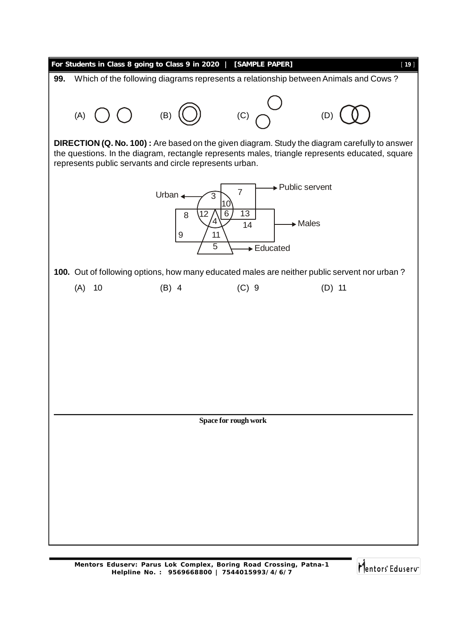